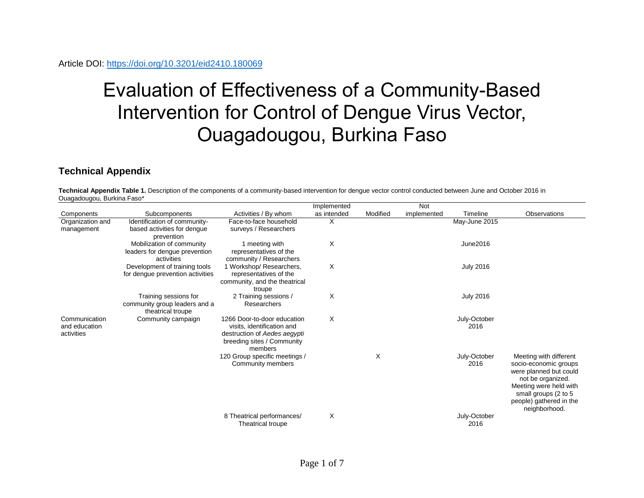## Evaluation of Effectiveness of a Community-Based Intervention for Control of Dengue Virus Vector, Ouagadougou, Burkina Faso

## **Technical Appendix**

**Technical Appendix Table 1.** Description of the components of a community-based intervention for dengue vector control conducted between June and October 2016 in Ouagadougou, Burkina Faso\*

|                                              |                                                                             |                                                                                                                                    | Implemented |          | Not         |                      |                                                                                                                                                                                              |
|----------------------------------------------|-----------------------------------------------------------------------------|------------------------------------------------------------------------------------------------------------------------------------|-------------|----------|-------------|----------------------|----------------------------------------------------------------------------------------------------------------------------------------------------------------------------------------------|
| Components                                   | Subcomponents                                                               | Activities / By whom                                                                                                               | as intended | Modified | implemented | Timeline             | Observations                                                                                                                                                                                 |
| Organization and<br>management               | Identification of community-<br>based activities for dengue<br>prevention   | Face-to-face household<br>surveys / Researchers                                                                                    | X           |          |             | May-June 2015        |                                                                                                                                                                                              |
|                                              | Mobilization of community<br>leaders for dengue prevention<br>activities    | 1 meeting with<br>representatives of the<br>community / Researchers                                                                | X           |          |             | June2016             |                                                                                                                                                                                              |
|                                              | Development of training tools<br>for dengue prevention activities           | 1 Workshop/ Researchers,<br>representatives of the<br>community, and the theatrical<br>troupe                                      | X           |          |             | <b>July 2016</b>     |                                                                                                                                                                                              |
|                                              | Training sessions for<br>community group leaders and a<br>theatrical troupe | 2 Training sessions /<br>Researchers                                                                                               | X           |          |             | <b>July 2016</b>     |                                                                                                                                                                                              |
| Communication<br>and education<br>activities | Community campaign                                                          | 1266 Door-to-door education<br>visits, identification and<br>destruction of Aedes aegypti<br>breeding sites / Community<br>members | X           |          |             | July-October<br>2016 |                                                                                                                                                                                              |
|                                              |                                                                             | 120 Group specific meetings /<br>Community members                                                                                 |             | X        |             | July-October<br>2016 | Meeting with different<br>socio-economic groups<br>were planned but could<br>not be organized.<br>Meeting were held with<br>small groups (2 to 5<br>people) gathered in the<br>neighborhood. |
|                                              |                                                                             | 8 Theatrical performances/<br><b>Theatrical troupe</b>                                                                             | X           |          |             | July-October<br>2016 |                                                                                                                                                                                              |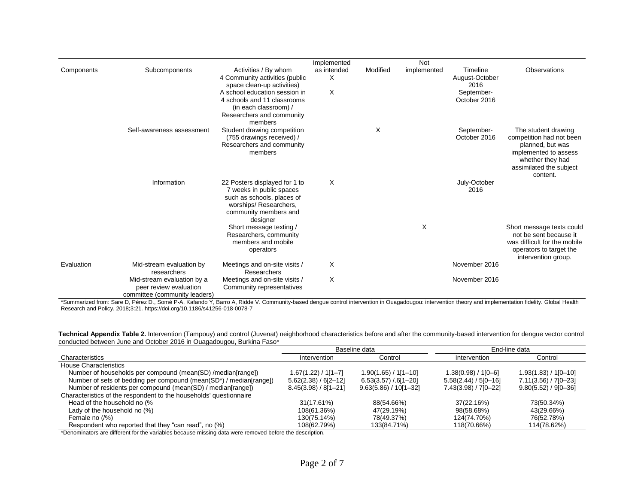|            |                                                                                       |                                                                                                                                                        | Implemented |          | Not         |                            |                                                                                                                                                         |
|------------|---------------------------------------------------------------------------------------|--------------------------------------------------------------------------------------------------------------------------------------------------------|-------------|----------|-------------|----------------------------|---------------------------------------------------------------------------------------------------------------------------------------------------------|
| Components | Subcomponents                                                                         | Activities / By whom                                                                                                                                   | as intended | Modified | implemented | Timeline                   | Observations                                                                                                                                            |
|            |                                                                                       | 4 Community activities (public<br>space clean-up activities)                                                                                           | Χ           |          |             | August-October<br>2016     |                                                                                                                                                         |
|            |                                                                                       | A school education session in                                                                                                                          | X           |          |             | September-                 |                                                                                                                                                         |
|            |                                                                                       | 4 schools and 11 classrooms<br>(in each classroom) /                                                                                                   |             |          |             | October 2016               |                                                                                                                                                         |
|            |                                                                                       | Researchers and community<br>members                                                                                                                   |             |          |             |                            |                                                                                                                                                         |
|            | Self-awareness assessment                                                             | Student drawing competition<br>(755 drawings received) /<br>Researchers and community<br>members                                                       |             | X        |             | September-<br>October 2016 | The student drawing<br>competition had not been<br>planned, but was<br>implemented to assess<br>whether they had<br>assimilated the subject<br>content. |
|            | Information                                                                           | 22 Posters displayed for 1 to<br>7 weeks in public spaces<br>such as schools, places of<br>worships/ Researchers,<br>community members and<br>designer | X           |          |             | July-October<br>2016       |                                                                                                                                                         |
|            |                                                                                       | Short message texting /<br>Researchers, community<br>members and mobile<br>operators                                                                   |             |          | X           |                            | Short message texts could<br>not be sent because it<br>was difficult for the mobile<br>operators to target the<br>intervention group.                   |
| Evaluation | Mid-stream evaluation by<br>researchers                                               | Meetings and on-site visits /<br>Researchers                                                                                                           | X           |          |             | November 2016              |                                                                                                                                                         |
|            | Mid-stream evaluation by a<br>peer review evaluation<br>committee (community leaders) | Meetings and on-site visits /<br>Community representatives                                                                                             | X           |          |             | November 2016              |                                                                                                                                                         |

\*Summarized from: Sare D, Pérez D., Somé P-A, Kafando Y, Barro A, Ridde V. Community-based dengue control intervention in Ouagadougou: intervention theory and implementation fidelity. Global Health Research and Policy. 2018;3:21.<https://doi.org/10.1186/s41256-018-0078-7>

**Technical Appendix Table 2.** Intervention (Tampouy) and control (Juvenat) neighborhood characteristics before and after the community-based intervention for dengue vector control conducted between June and October 2016 in Ouagadougou, Burkina Faso\*

|                                                                    |                          | Baseline data             | End-line data            |                          |  |
|--------------------------------------------------------------------|--------------------------|---------------------------|--------------------------|--------------------------|--|
| Characteristics                                                    | Intervention             | Control                   | Intervention             | Control                  |  |
| House Characteristics                                              |                          |                           |                          |                          |  |
| Number of households per compound (mean(SD) /median[range])        | 1.67(1.22) / 1[1–7]      | $1.90(1.65) / 1[1 - 10]$  | 1.38(0.98) / 1[0–6]      | $1.93(1.83) / 1[0 - 10]$ |  |
| Number of sets of bedding per compound (mean(SD*) / median[range]) | $5.62(2.38) / 6[2 - 12]$ | $6.53(3.57)/6[1-20]$      | $5.58(2.44) / 5[0 - 16]$ | $7.11(3.56) / 7[0-23]$   |  |
| Number of residents per compound (mean(SD) / median[range])        | $8.45(3.98) / 8[1 - 21]$ | $9.63(5.86) / 10[1 - 32]$ | $7.43(3.98) / 7[0 - 22]$ | $9.80(5.52) / 9[0 - 36]$ |  |
| Characteristics of the respondent to the households' questionnaire |                          |                           |                          |                          |  |
| Head of the household no (%                                        | 31(17.61%)               | 88(54.66%)                | 37(22.16%)               | 73(50.34%)               |  |
| Lady of the household no (%)                                       | 108(61.36%)              | 47(29.19%)                | 98(58.68%)               | 43(29.66%)               |  |
| Female no (/%)                                                     | 130(75.14%)              | 78(49.37%)                | 124(74.70%)              | 76(52.78%)               |  |
| Respondent who reported that they "can read", no (%)               | 108(62.79%)              | 133(84.71%)               | 118(70.66%)              | 114(78.62%)              |  |

\*Denominators are different for the variables because missing data were removed before the description.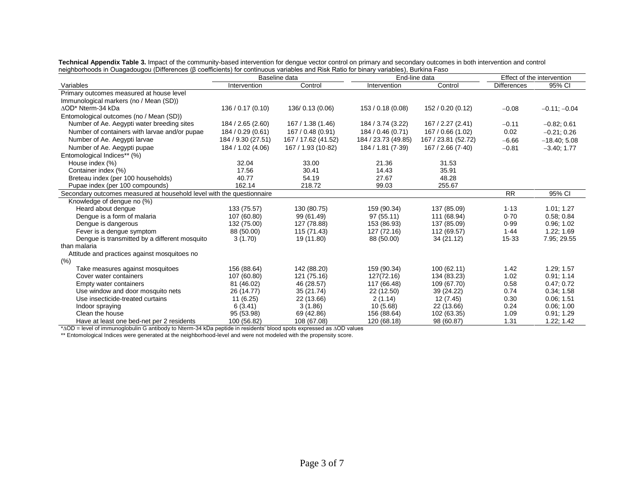|                                                                                                                                        | Technical Appendix Table 3. Impact of the community-based intervention for dengue vector control on primary and secondary outcomes in both intervention and control |
|----------------------------------------------------------------------------------------------------------------------------------------|---------------------------------------------------------------------------------------------------------------------------------------------------------------------|
| neighborhoods in Ouagadougou (Differences (B coefficients) for continuous variables and Risk Ratio for binary variables), Burkina Faso |                                                                                                                                                                     |

|                                                                       | Baseline data      |                     | End-line data       |                     | Effect of the intervention |                |
|-----------------------------------------------------------------------|--------------------|---------------------|---------------------|---------------------|----------------------------|----------------|
| Variables                                                             | Intervention       | Control             | Intervention        | Control             | <b>Differences</b>         | 95% CI         |
| Primary outcomes measured at house level                              |                    |                     |                     |                     |                            |                |
| Immunological markers (no / Mean (SD))                                |                    |                     |                     |                     |                            |                |
| ∆OD* Nterm-34 kDa                                                     | 136 / 0.17 (0.10)  | 136/0.13 (0.06)     | 153/0.18(0.08)      | 152 / 0.20 (0.12)   | $-0.08$                    | $-0.11; -0.04$ |
| Entomological outcomes (no / Mean (SD))                               |                    |                     |                     |                     |                            |                |
| Number of Ae. Aegypti water breeding sites                            | 184 / 2.65 (2.60)  | 167 / 1.38 (1.46)   | 184 / 3.74 (3.22)   | 167 / 2.27 (2.41)   | $-0.11$                    | $-0.82; 0.61$  |
| Number of containers with larvae and/or pupae                         | 184 / 0.29 (0.61)  | 167 / 0.48 (0.91)   | 184 / 0.46 (0.71)   | 167 / 0.66 (1.02)   | 0.02                       | $-0.21; 0.26$  |
| Number of Ae. Aegypti larvae                                          | 184 / 9.30 (27.51) | 167 / 17.62 (41.52) | 184 / 23.73 (49.85) | 167 / 23.81 (52.72) | $-6.66$                    | $-18.40; 5.08$ |
| Number of Ae. Aegypti pupae                                           | 184 / 1.02 (4.06)  | 167 / 1.93 (10.82)  | 184 / 1.81 (7.39)   | 167/2.66(7.40)      | $-0.81$                    | $-3.40; 1.77$  |
| Entomological Indices** (%)                                           |                    |                     |                     |                     |                            |                |
| House index (%)                                                       | 32.04              | 33.00               | 21.36               | 31.53               |                            |                |
| Container index (%)                                                   | 17.56              | 30.41               | 14.43               | 35.91               |                            |                |
| Breteau index (per 100 households)                                    | 40.77              | 54.19               | 27.67               | 48.28               |                            |                |
| Pupae index (per 100 compounds)                                       | 162.14             | 218.72              | 99.03               | 255.67              |                            |                |
| Secondary outcomes measured at household level with the questionnaire |                    |                     |                     |                     | <b>RR</b>                  | 95% CI         |
| Knowledge of dengue no (%)                                            |                    |                     |                     |                     |                            |                |
| Heard about denque                                                    | 133 (75.57)        | 130 (80.75)         | 159 (90.34)         | 137 (85.09)         | 1.13                       | 1.01; 1.27     |
| Dengue is a form of malaria                                           | 107 (60.80)        | 99 (61.49)          | 97 (55.11)          | 111 (68.94)         | 0.70                       | 0.58; 0.84     |
| Dengue is dangerous                                                   | 132 (75.00)        | 127 (78.88)         | 153 (86.93)         | 137 (85.09)         | 0.99                       | 0.96; 1.02     |
| Fever is a dengue symptom                                             | 88 (50.00)         | 115 (71.43)         | 127 (72.16)         | 112 (69.57)         | 1.44                       | 1.22; 1.69     |
| Dengue is transmitted by a different mosquito                         | 3(1.70)            | 19 (11.80)          | 88 (50.00)          | 34 (21.12)          | $15-33$                    | 7.95; 29.55    |
| than malaria                                                          |                    |                     |                     |                     |                            |                |
| Attitude and practices against mosquitoes no                          |                    |                     |                     |                     |                            |                |
| (%)                                                                   |                    |                     |                     |                     |                            |                |
| Take measures against mosquitoes                                      | 156 (88.64)        | 142 (88.20)         | 159 (90.34)         | 100 (62.11)         | 1.42                       | 1.29; 1.57     |
| Cover water containers                                                | 107 (60.80)        | 121 (75.16)         | 127(72.16)          | 134 (83.23)         | 1.02                       | 0.91; 1.14     |
| Empty water containers                                                | 81 (46.02)         | 46 (28.57)          | 117 (66.48)         | 109 (67.70)         | 0.58                       | 0.47; 0.72     |
| Use window and door mosquito nets                                     | 26 (14.77)         | 35 (21.74)          | 22 (12.50)          | 39 (24.22)          | 0.74                       | 0.34; 1.58     |
| Use insecticide-treated curtains                                      | 11(6.25)           | 22 (13.66)          | 2(1.14)             | 12 (7.45)           | 0.30                       | 0.06; 1.51     |
| Indoor spraying                                                       | 6(3.41)            | 3(1.86)             | 10(5.68)            | 22 (13.66)          | 0.24                       | 0.06; 1.00     |
| Clean the house                                                       | 95 (53.98)         | 69 (42.86)          | 156 (88.64)         | 102 (63.35)         | 1.09                       | 0.91; 1.29     |
| Have at least one bed-net per 2 residents                             | 100 (56.82)        | 108 (67.08)         | 120 (68.18)         | 98 (60.87)          | 1.31                       | 1.22; 1.42     |

\*∆OD = level of immunoglobulin G antibody to Nterm-34 kDa peptide in residents' blood spots expressed as ∆OD values

\*\* Entomological Indices were generated at the neighborhood-level and were not modeled with the propensity score.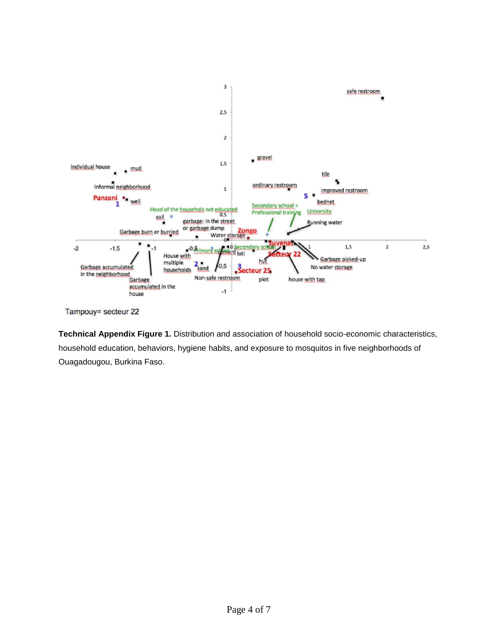

Tampouy= secteur 22

**Technical Appendix Figure 1.** Distribution and association of household socio-economic characteristics, household education, behaviors, hygiene habits, and exposure to mosquitos in five neighborhoods of Ouagadougou, Burkina Faso.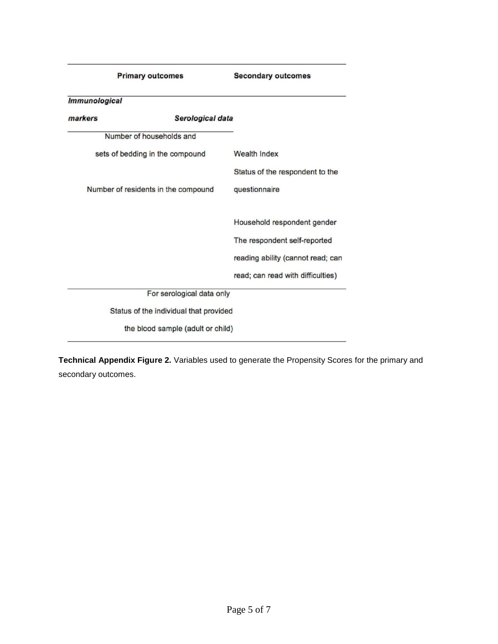| <b>Primary outcomes</b>     |                                        | <b>Secondary outcomes</b>         |  |  |
|-----------------------------|----------------------------------------|-----------------------------------|--|--|
| <i><b>Immunological</b></i> |                                        |                                   |  |  |
| markers                     | Serological data                       |                                   |  |  |
|                             | Number of households and               |                                   |  |  |
|                             | sets of bedding in the compound        | <b>Wealth Index</b>               |  |  |
|                             |                                        | Status of the respondent to the   |  |  |
|                             | Number of residents in the compound    | questionnaire                     |  |  |
|                             |                                        | Household respondent gender       |  |  |
|                             |                                        | The respondent self-reported      |  |  |
|                             |                                        | reading ability (cannot read; can |  |  |
|                             |                                        | read; can read with difficulties) |  |  |
|                             | For serological data only              |                                   |  |  |
|                             | Status of the individual that provided |                                   |  |  |
|                             | the blood sample (adult or child)      |                                   |  |  |

**Technical Appendix Figure 2.** Variables used to generate the Propensity Scores for the primary and secondary outcomes.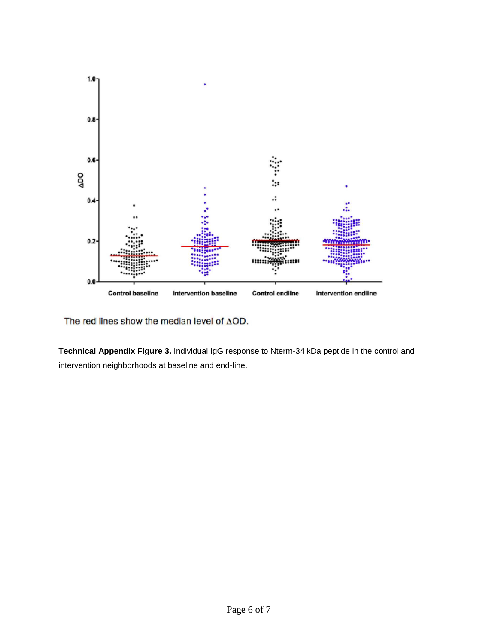

The red lines show the median level of AOD.

**Technical Appendix Figure 3.** Individual IgG response to Nterm-34 kDa peptide in the control and intervention neighborhoods at baseline and end-line.